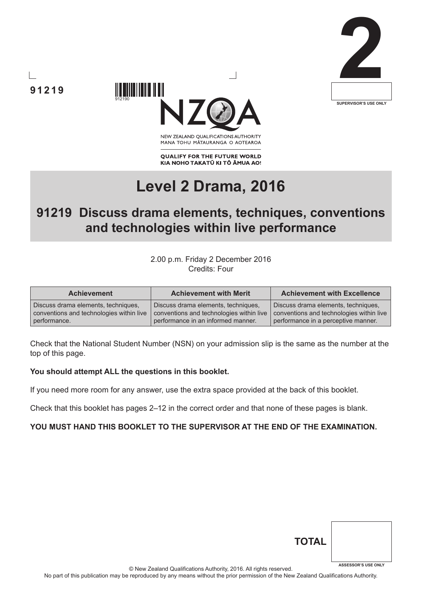



NEW ZEALAND OUALIFICATIONS AUTHORITY MANA TOHU MATAURANGA O AOTEAROA

**QUALIFY FOR THE FUTURE WORLD** KIA NOHO TAKATŪ KI TŌ ĀMUA AO!

# **Level 2 Drama, 2016**

## **91219 Discuss drama elements, techniques, conventions and technologies within live performance**

2.00 p.m. Friday 2 December 2016 Credits: Four

| <b>Achievement</b>                       | <b>Achievement with Merit</b>            | <b>Achievement with Excellence</b>       |
|------------------------------------------|------------------------------------------|------------------------------------------|
| Discuss drama elements, techniques,      | Discuss drama elements, techniques,      | Discuss drama elements, techniques,      |
| conventions and technologies within live | conventions and technologies within live | conventions and technologies within live |
| performance.                             | performance in an informed manner.       | performance in a perceptive manner.      |

Check that the National Student Number (NSN) on your admission slip is the same as the number at the top of this page.

#### **You should attempt ALL the questions in this booklet.**

If you need more room for any answer, use the extra space provided at the back of this booklet.

Check that this booklet has pages 2–12 in the correct order and that none of these pages is blank.

#### **YOU MUST HAND THIS BOOKLET TO THE SUPERVISOR AT THE END OF THE EXAMINATION.**

| <b>TOTAL</b> |                            |
|--------------|----------------------------|
|              | <b>ASSESSOR'S USE ONLY</b> |

© New Zealand Qualifications Authority, 2016. All rights reserved.

No part of this publication may be reproduced by any means without the prior permission of the New Zealand Qualifications Authority.

**91219**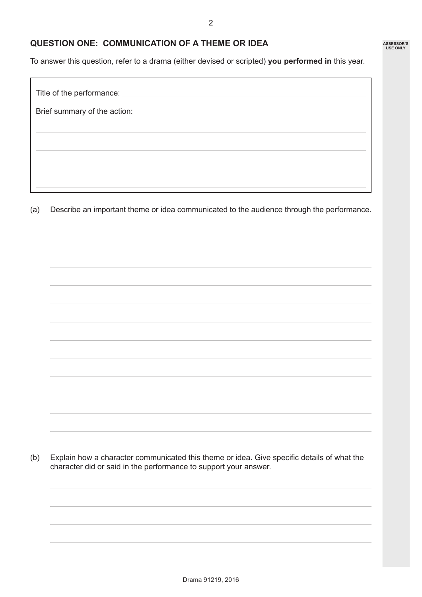2

#### **QUESTION ONE: COMMUNICATION OF A THEME OR IDEA**

To answer this question, refer to a drama (either devised or scripted) **you performed in** this year.

Title of the performance: Brief summary of the action:

(a) Describe an important theme or idea communicated to the audience through the performance.

(b) Explain how a character communicated this theme or idea. Give specific details of what the character did or said in the performance to support your answer.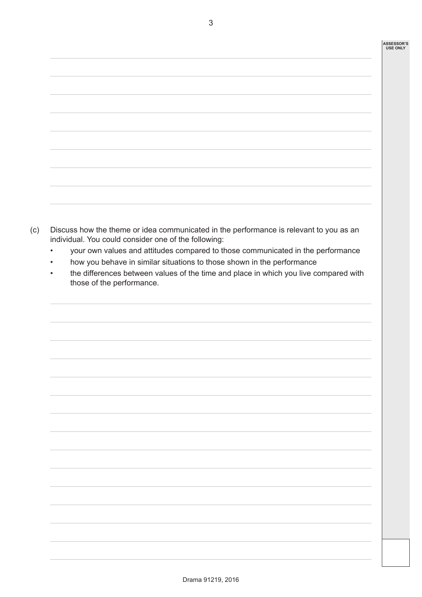| <u> 1989 - Johann Stoff, amerikansk politiker (* 1989)</u> |  |
|------------------------------------------------------------|--|
|                                                            |  |
|                                                            |  |
|                                                            |  |
|                                                            |  |
|                                                            |  |
|                                                            |  |
|                                                            |  |
|                                                            |  |
|                                                            |  |
|                                                            |  |
|                                                            |  |
|                                                            |  |
|                                                            |  |
|                                                            |  |
|                                                            |  |
|                                                            |  |
|                                                            |  |
|                                                            |  |
|                                                            |  |
|                                                            |  |
|                                                            |  |
|                                                            |  |
|                                                            |  |

- (c) Discuss how the theme or idea communicated in the performance is relevant to you as an individual. You could consider one of the following:
	- your own values and attitudes compared to those communicated in the performance
	- how you behave in similar situations to those shown in the performance
	- the differences between values of the time and place in which you live compared with those of the performance.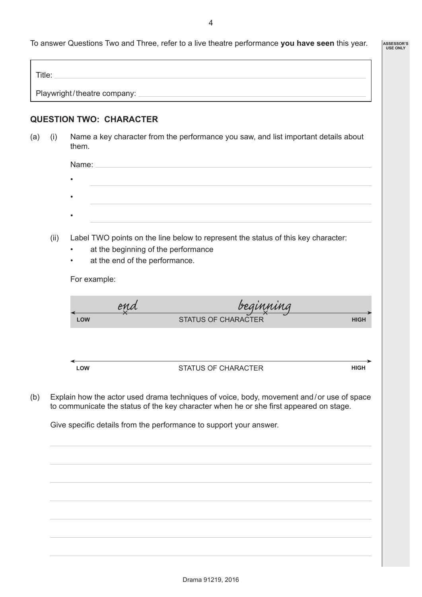To answer Questions Two and Three, refer to a live theatre performance **you have seen** this year.

**ASSESSOR'S USE ONLY**

| Title:                        |  |  |
|-------------------------------|--|--|
|                               |  |  |
| Playwright/theatre company: _ |  |  |
|                               |  |  |

#### **QUESTION TWO: CHARACTER**

(a) (i) Name a key character from the performance you saw, and list important details about them.

| Name:     |  |  |
|-----------|--|--|
| $\bullet$ |  |  |
|           |  |  |
| $\bullet$ |  |  |
|           |  |  |
| ٠         |  |  |
|           |  |  |

- (ii) Label TWO points on the line below to represent the status of this key character:
	- at the beginning of the performance
	- at the end of the performance.

For example:

|            | ena | beginning                  |             |
|------------|-----|----------------------------|-------------|
| <b>LOW</b> |     | <b>STATUS OF CHARACTER</b> | <b>HIGH</b> |
|            |     |                            |             |
|            |     |                            |             |
| <b>LOW</b> |     | <b>STATUS OF CHARACTER</b> | <b>HIGH</b> |
|            |     |                            |             |

(b) Explain how the actor used drama techniques of voice, body, movement and / or use of space to communicate the status of the key character when he or she first appeared on stage.

Give specific details from the performance to support your answer.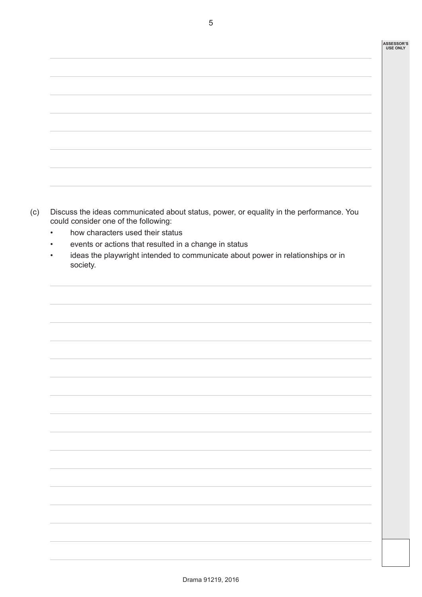#### **ASSESSOR'S USE ONLY**

| ,我们也不能会有什么。""我们的人,我们也不能会有什么?""我们的人,我们也不能会有什么?""我们的人,我们也不能会有什么?""我们的人,我们也不能会有什么?"" |  |
|-----------------------------------------------------------------------------------|--|
|                                                                                   |  |
|                                                                                   |  |
|                                                                                   |  |
|                                                                                   |  |
|                                                                                   |  |
|                                                                                   |  |
|                                                                                   |  |
|                                                                                   |  |
|                                                                                   |  |
|                                                                                   |  |
|                                                                                   |  |
|                                                                                   |  |
|                                                                                   |  |
|                                                                                   |  |
|                                                                                   |  |
|                                                                                   |  |
|                                                                                   |  |
|                                                                                   |  |
|                                                                                   |  |
|                                                                                   |  |
|                                                                                   |  |
|                                                                                   |  |
|                                                                                   |  |
|                                                                                   |  |
| ,我们也不会有什么?""我们的人,我们也不会有什么?""我们的人,我们也不会有什么?""我们的人,我们也不会有什么?""我们的人,我们也不会有什么?""我们的人  |  |
|                                                                                   |  |
|                                                                                   |  |
|                                                                                   |  |
|                                                                                   |  |
|                                                                                   |  |
|                                                                                   |  |
|                                                                                   |  |
|                                                                                   |  |
|                                                                                   |  |
|                                                                                   |  |
|                                                                                   |  |
|                                                                                   |  |
|                                                                                   |  |
|                                                                                   |  |
|                                                                                   |  |
|                                                                                   |  |
|                                                                                   |  |
|                                                                                   |  |
|                                                                                   |  |
|                                                                                   |  |
|                                                                                   |  |
|                                                                                   |  |
|                                                                                   |  |
|                                                                                   |  |
|                                                                                   |  |
|                                                                                   |  |
|                                                                                   |  |
|                                                                                   |  |
|                                                                                   |  |

- (c) Discuss the ideas communicated about status, power, or equality in the performance. You could consider one of the following:
	- how characters used their status
	- events or actions that resulted in a change in status
	- ideas the playwright intended to communicate about power in relationships or in society.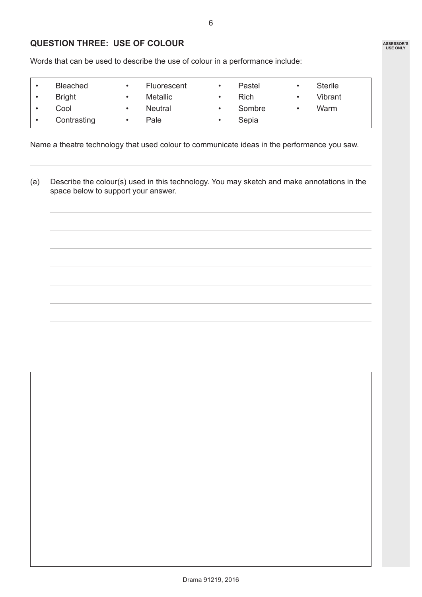**ASSESSOR'S USE ONLY**

### **QUESTION THREE: USE OF COLOUR**

Words that can be used to describe the use of colour in a performance include:

| <b>Bleached</b> | Fluorescent     | Pastel      | <b>Sterile</b> |
|-----------------|-----------------|-------------|----------------|
| <b>Bright</b>   | <b>Metallic</b> | <b>Rich</b> | Vibrant        |
| Cool            | <b>Neutral</b>  | Sombre      | Warm           |
| Contrasting     | Pale            | Sepia       |                |

Name a theatre technology that used colour to communicate ideas in the performance you saw.

(a) Describe the colour(s) used in this technology. You may sketch and make annotations in the space below to support your answer.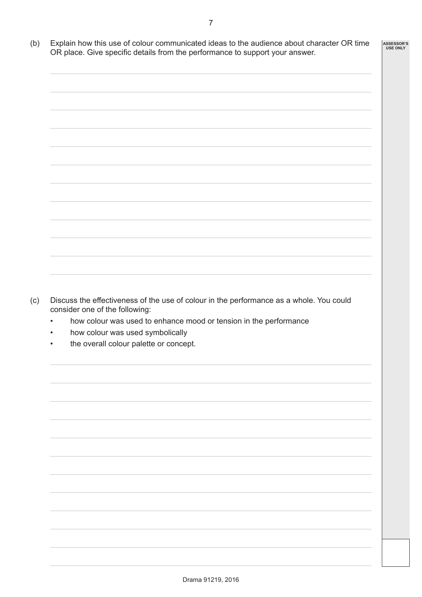- 7
- (b) Explain how this use of colour communicated ideas to the audience about character OR time OR place. Give specific details from the performance to support your answer. **ASSESSOR'S USE ONLY**



- (c) Discuss the effectiveness of the use of colour in the performance as a whole. You could consider one of the following:
	- how colour was used to enhance mood or tension in the performance
	- how colour was used symbolically
	- the overall colour palette or concept.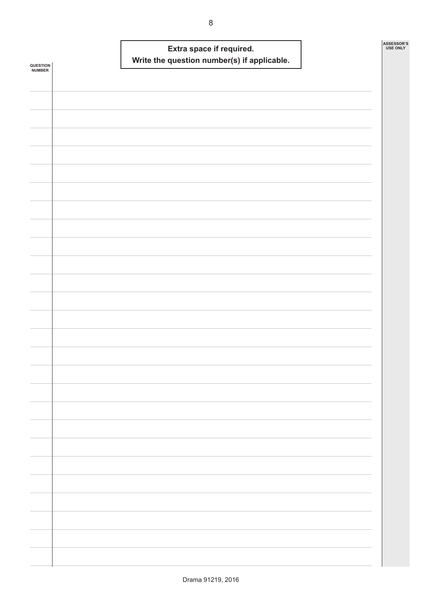|                    |  | Write the question number(s) if applicable. | Extra space if required. |  | ASSESSOR'S<br><b>USE ONLY</b> |
|--------------------|--|---------------------------------------------|--------------------------|--|-------------------------------|
| QUESTION<br>NUMBER |  |                                             |                          |  |                               |
|                    |  |                                             |                          |  |                               |
|                    |  |                                             |                          |  |                               |
|                    |  |                                             |                          |  |                               |
|                    |  |                                             |                          |  |                               |
|                    |  |                                             |                          |  |                               |
|                    |  |                                             |                          |  |                               |
|                    |  |                                             |                          |  |                               |
|                    |  |                                             |                          |  |                               |
|                    |  |                                             |                          |  |                               |
|                    |  |                                             |                          |  |                               |
|                    |  |                                             |                          |  |                               |
|                    |  |                                             |                          |  |                               |
|                    |  |                                             |                          |  |                               |
|                    |  |                                             |                          |  |                               |
|                    |  |                                             |                          |  |                               |
|                    |  |                                             |                          |  |                               |
|                    |  |                                             |                          |  |                               |
|                    |  |                                             |                          |  |                               |
|                    |  |                                             |                          |  |                               |
|                    |  |                                             |                          |  |                               |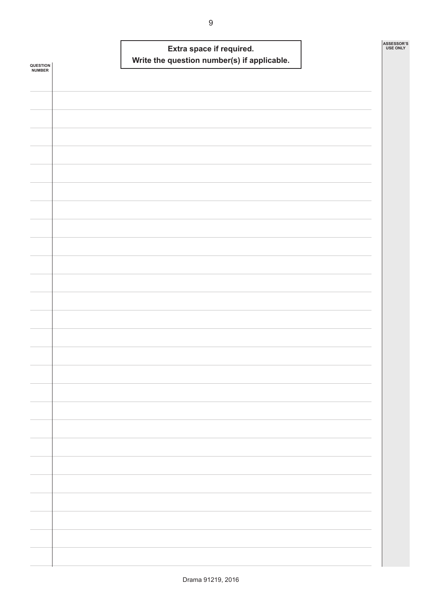|                    |  | Write the question number(s) if applicable. | Extra space if required. |  | ASSESSOR'S<br><b>USE ONLY</b> |
|--------------------|--|---------------------------------------------|--------------------------|--|-------------------------------|
| QUESTION<br>NUMBER |  |                                             |                          |  |                               |
|                    |  |                                             |                          |  |                               |
|                    |  |                                             |                          |  |                               |
|                    |  |                                             |                          |  |                               |
|                    |  |                                             |                          |  |                               |
|                    |  |                                             |                          |  |                               |
|                    |  |                                             |                          |  |                               |
|                    |  |                                             |                          |  |                               |
|                    |  |                                             |                          |  |                               |
|                    |  |                                             |                          |  |                               |
|                    |  |                                             |                          |  |                               |
|                    |  |                                             |                          |  |                               |
|                    |  |                                             |                          |  |                               |
|                    |  |                                             |                          |  |                               |
|                    |  |                                             |                          |  |                               |
|                    |  |                                             |                          |  |                               |
|                    |  |                                             |                          |  |                               |
|                    |  |                                             |                          |  |                               |
|                    |  |                                             |                          |  |                               |
|                    |  |                                             |                          |  |                               |
|                    |  |                                             |                          |  |                               |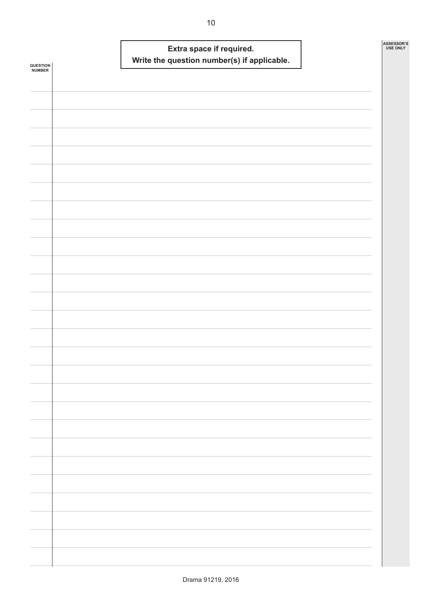| QUESTION<br><b>NUMBER</b> |  | Extra space if required. | Write the question number(s) if applicable. |  | ASSESSOR'S<br><b>USE ONLY</b> |
|---------------------------|--|--------------------------|---------------------------------------------|--|-------------------------------|
|                           |  |                          |                                             |  |                               |
|                           |  |                          |                                             |  |                               |
|                           |  |                          |                                             |  |                               |
|                           |  |                          |                                             |  |                               |
|                           |  |                          |                                             |  |                               |
|                           |  |                          |                                             |  |                               |
|                           |  |                          |                                             |  |                               |
|                           |  |                          |                                             |  |                               |
|                           |  |                          |                                             |  |                               |
|                           |  |                          |                                             |  |                               |
|                           |  |                          |                                             |  |                               |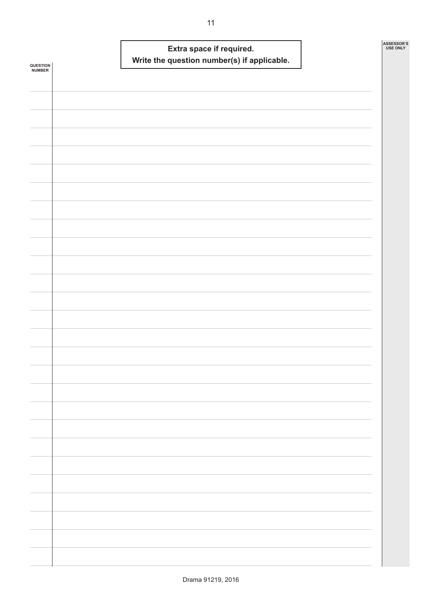| QUESTION<br>NUMBER |  | Extra space if required. | Write the question number(s) if applicable. |  | ASSESSOR'S<br><b>USE ONLY</b> |
|--------------------|--|--------------------------|---------------------------------------------|--|-------------------------------|
|                    |  |                          |                                             |  |                               |
|                    |  |                          |                                             |  |                               |
|                    |  |                          |                                             |  |                               |
|                    |  |                          |                                             |  |                               |
|                    |  |                          |                                             |  |                               |
|                    |  |                          |                                             |  |                               |
|                    |  |                          |                                             |  |                               |
|                    |  |                          |                                             |  |                               |
|                    |  |                          |                                             |  |                               |
|                    |  |                          |                                             |  |                               |
|                    |  |                          |                                             |  |                               |
|                    |  |                          |                                             |  |                               |
|                    |  |                          |                                             |  |                               |
|                    |  |                          |                                             |  |                               |
|                    |  |                          |                                             |  |                               |